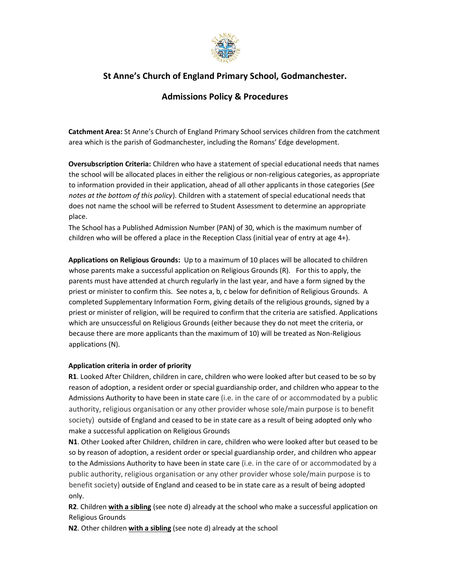

# **St Anne's Church of England Primary School, Godmanchester.**

## **Admissions Policy & Procedures**

**Catchment Area:** St Anne's Church of England Primary School services children from the catchment area which is the parish of Godmanchester, including the Romans' Edge development.

**Oversubscription Criteria:** Children who have a statement of special educational needs that names the school will be allocated places in either the religious or non-religious categories, as appropriate to information provided in their application, ahead of all other applicants in those categories (*See notes at the bottom of this policy*). Children with a statement of special educational needs that does not name the school will be referred to Student Assessment to determine an appropriate place.

The School has a Published Admission Number (PAN) of 30, which is the maximum number of children who will be offered a place in the Reception Class (initial year of entry at age 4+).

**Applications on Religious Grounds:** Up to a maximum of 10 places will be allocated to children whose parents make a successful application on Religious Grounds (R). For this to apply, the parents must have attended at church regularly in the last year, and have a form signed by the priest or minister to confirm this. See notes a, b, c below for definition of Religious Grounds. A completed Supplementary Information Form, giving details of the religious grounds, signed by a priest or minister of religion, will be required to confirm that the criteria are satisfied. Applications which are unsuccessful on Religious Grounds (either because they do not meet the criteria, or because there are more applicants than the maximum of 10) will be treated as Non-Religious applications (N).

## **Application criteria in order of priority**

**R1**. Looked After Children, children in care, children who were looked after but ceased to be so by reason of adoption, a resident order or special guardianship order, and children who appear to the Admissions Authority to have been in state care (i.e. in the care of or accommodated by a public authority, religious organisation or any other provider whose sole/main purpose is to benefit society) outside of England and ceased to be in state care as a result of being adopted only who make a successful application on Religious Grounds

**N1**. Other Looked after Children, children in care, children who were looked after but ceased to be so by reason of adoption, a resident order or special guardianship order, and children who appear to the Admissions Authority to have been in state care (i.e. in the care of or accommodated by a public authority, religious organisation or any other provider whose sole/main purpose is to benefit society) outside of England and ceased to be in state care as a result of being adopted only.

**R2**. Children **with a sibling** (see note d) already at the school who make a successful application on Religious Grounds

**N2**. Other children **with a sibling** (see note d) already at the school